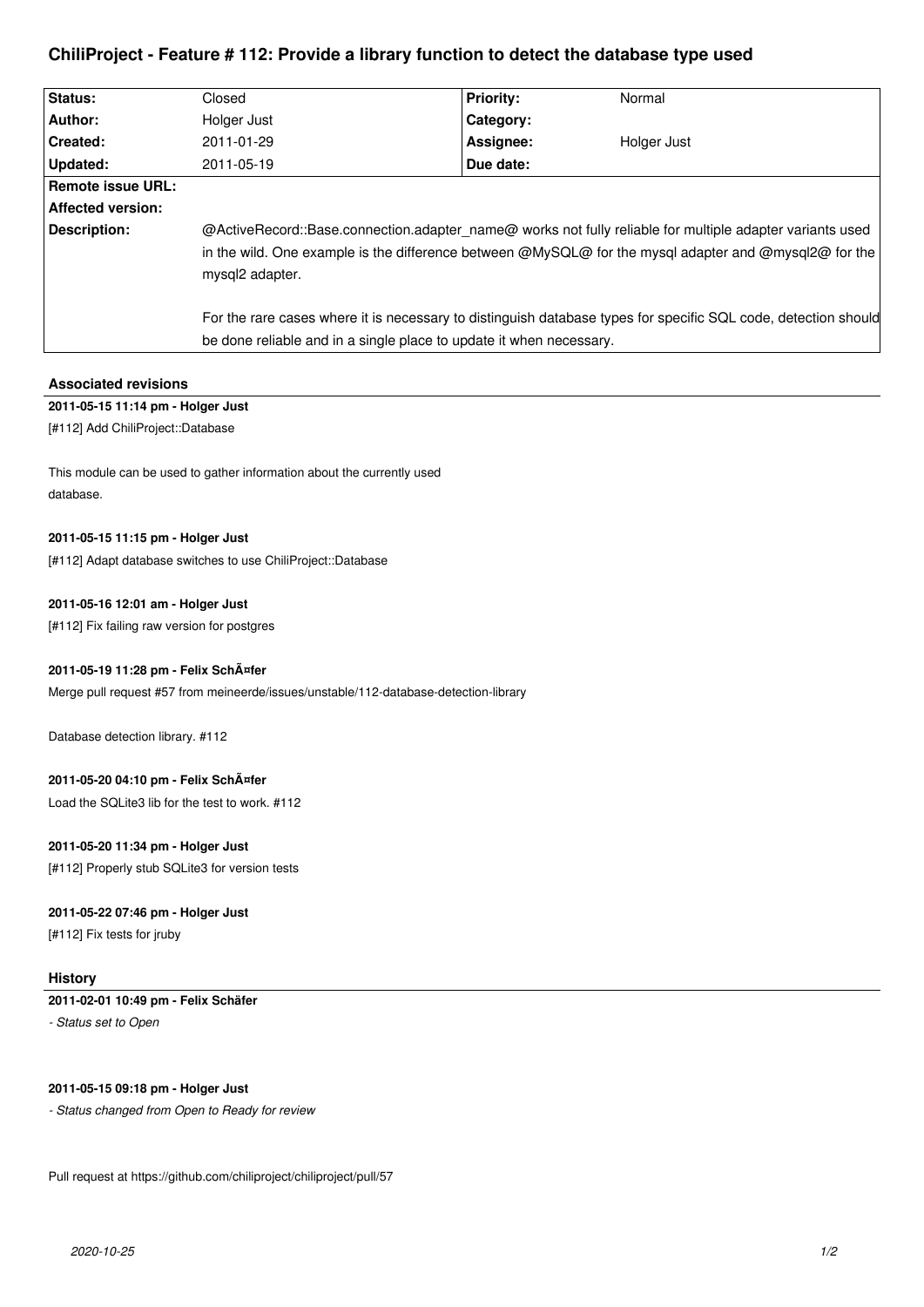# **ChiliProject - Feature # 112: Provide a library function to detect the database type used**

| Status:           | Closed                                                                                                                                                                                                                               | <b>Priority:</b> | Normal      |
|-------------------|--------------------------------------------------------------------------------------------------------------------------------------------------------------------------------------------------------------------------------------|------------------|-------------|
| Author:           | Holger Just                                                                                                                                                                                                                          | Category:        |             |
| Created:          | 2011-01-29                                                                                                                                                                                                                           | Assignee:        | Holger Just |
| Updated:          | 2011-05-19                                                                                                                                                                                                                           | Due date:        |             |
| Remote issue URL: |                                                                                                                                                                                                                                      |                  |             |
| Affected version: |                                                                                                                                                                                                                                      |                  |             |
| Description:      | @ActiveRecord::Base.connection.adapter name@ works not fully reliable for multiple adapter variants used<br>in the wild. One example is the difference between @MySQL@ for the mysql adapter and @mysql2@ for the<br>mysql2 adapter. |                  |             |
|                   | For the rare cases where it is necessary to distinguish database types for specific SQL code, detection should                                                                                                                       |                  |             |
|                   | be done reliable and in a single place to update it when necessary.                                                                                                                                                                  |                  |             |

# **Associated revisions**

# **2011-05-15 11:14 pm - Holger Just**

[#112] Add ChiliProject::Database

This module can be used to gather information about the currently used database.

## **2011-05-15 11:15 pm - Holger Just**

[#112] Adapt database switches to use ChiliProject::Database

### **2011-05-16 12:01 am - Holger Just**

[#112] Fix failing raw version for postgres

### **2011-05-19 11:28 pm - Felix Schäfer**

Merge pull request #57 from meineerde/issues/unstable/112-database-detection-library

Database detection library. #112

#### **2011-05-20 04:10 pm - Felix Schäfer**

Load the SQLite3 lib for the test to work. #112

# **2011-05-20 11:34 pm - Holger Just**

[#112] Properly stub SQLite3 for version tests

## **2011-05-22 07:46 pm - Holger Just**

[#112] Fix tests for jruby

### **History**

## **2011-02-01 10:49 pm - Felix Schäfer**

*- Status set to Open*

### **2011-05-15 09:18 pm - Holger Just**

*- Status changed from Open to Ready for review*

Pull request at https://github.com/chiliproject/chiliproject/pull/57